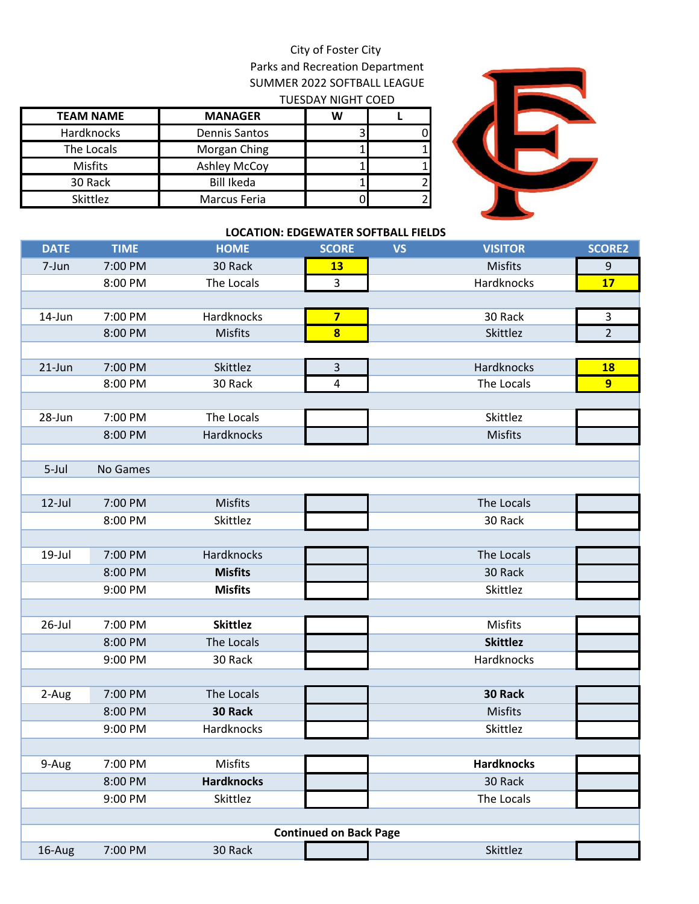## City of Foster City Parks and Recreation Department SUMMER 2022 SOFTBALL LEAGUE TUESDAY NIGHT COED

| <b>TEAM NAME</b> | <b>MANAGER</b>       | W |  |
|------------------|----------------------|---|--|
| Hardknocks       | <b>Dennis Santos</b> |   |  |
| The Locals       | Morgan Ching         |   |  |
| <b>Misfits</b>   | <b>Ashley McCoy</b>  |   |  |
| 30 Rack          | <b>Bill Ikeda</b>    |   |  |
| <b>Skittlez</b>  | Marcus Feria         |   |  |



## **LOCATION: EDGEWATER SOFTBALL FIELDS**

| <b>DATE</b> | <b>TIME</b> | <b>HOME</b>       | <b>SCORE</b>                  | <b>VS</b> | <b>VISITOR</b>    | <b>SCORE2</b>  |
|-------------|-------------|-------------------|-------------------------------|-----------|-------------------|----------------|
| 7-Jun       | 7:00 PM     | 30 Rack           | <b>13</b>                     |           | <b>Misfits</b>    | 9              |
|             | 8:00 PM     | The Locals        | 3                             |           | Hardknocks        | 17             |
|             |             |                   |                               |           |                   |                |
| 14-Jun      | 7:00 PM     | Hardknocks        | $\overline{\mathbf{z}}$       |           | 30 Rack           | 3              |
|             | 8:00 PM     | <b>Misfits</b>    | 8                             |           | Skittlez          | $\overline{2}$ |
|             |             |                   |                               |           |                   |                |
| $21$ -Jun   | 7:00 PM     | Skittlez          | $\mathsf{3}$                  |           | Hardknocks        | <b>18</b>      |
|             | 8:00 PM     | 30 Rack           | $\overline{\mathbf{4}}$       |           | The Locals        | 9 <sup>°</sup> |
|             |             |                   |                               |           |                   |                |
| 28-Jun      | 7:00 PM     | The Locals        |                               |           | Skittlez          |                |
|             | 8:00 PM     | Hardknocks        |                               |           | <b>Misfits</b>    |                |
|             |             |                   |                               |           |                   |                |
| 5-Jul       | No Games    |                   |                               |           |                   |                |
|             |             |                   |                               |           |                   |                |
| $12$ -Jul   | 7:00 PM     | <b>Misfits</b>    |                               |           | The Locals        |                |
|             | 8:00 PM     | Skittlez          |                               |           | 30 Rack           |                |
|             |             |                   |                               |           |                   |                |
| 19-Jul      | 7:00 PM     | Hardknocks        |                               |           | The Locals        |                |
|             | 8:00 PM     | <b>Misfits</b>    |                               |           | 30 Rack           |                |
|             | 9:00 PM     | <b>Misfits</b>    |                               |           | Skittlez          |                |
|             |             |                   |                               |           |                   |                |
| $26$ -Jul   | 7:00 PM     | <b>Skittlez</b>   |                               |           | Misfits           |                |
|             | 8:00 PM     | The Locals        |                               |           | <b>Skittlez</b>   |                |
|             | 9:00 PM     | 30 Rack           |                               |           | Hardknocks        |                |
|             |             |                   |                               |           |                   |                |
| 2-Aug       | 7:00 PM     | The Locals        |                               |           | 30 Rack           |                |
|             | 8:00 PM     | 30 Rack           |                               |           | <b>Misfits</b>    |                |
|             | 9:00 PM     | Hardknocks        |                               |           | Skittlez          |                |
|             |             |                   |                               |           |                   |                |
| 9-Aug       | 7:00 PM     | Misfits           |                               |           | <b>Hardknocks</b> |                |
|             | 8:00 PM     | <b>Hardknocks</b> |                               |           | 30 Rack           |                |
|             | 9:00 PM     | Skittlez          |                               |           | The Locals        |                |
|             |             |                   |                               |           |                   |                |
|             |             |                   | <b>Continued on Back Page</b> |           |                   |                |
| 16-Aug      | 7:00 PM     | 30 Rack           |                               |           | Skittlez          |                |
|             |             |                   |                               |           |                   |                |